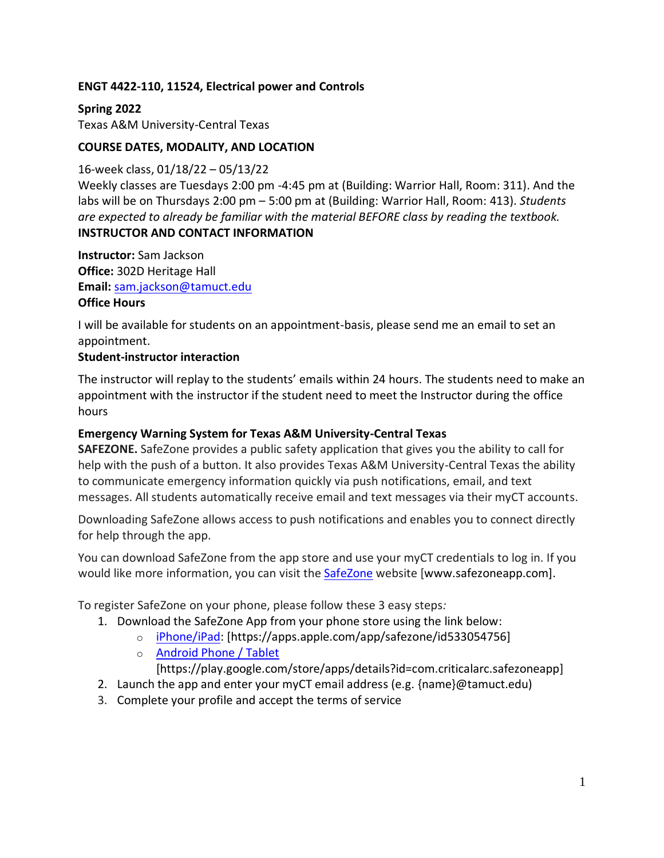## **ENGT 4422-110, 11524, Electrical power and Controls**

**Spring 2022** Texas A&M University-Central Texas

### **COURSE DATES, MODALITY, AND LOCATION**

16-week class, 01/18/22 – 05/13/22 Weekly classes are Tuesdays 2:00 pm -4:45 pm at (Building: Warrior Hall, Room: 311). And the labs will be on Thursdays 2:00 pm – 5:00 pm at (Building: Warrior Hall, Room: 413). *Students are expected to already be familiar with the material BEFORE class by reading the textbook.* **INSTRUCTOR AND CONTACT INFORMATION**

**Instructor:** Sam Jackson **Office:** 302D Heritage Hall **Email:** [sam.jackson@tamuct.edu](mailto:sam.jackson@tamuct.edu) **Office Hours**

I will be available for students on an appointment-basis, please send me an email to set an appointment.

#### **Student-instructor interaction**

The instructor will replay to the students' emails within 24 hours. The students need to make an appointment with the instructor if the student need to meet the Instructor during the office hours

#### **Emergency Warning System for Texas A&M University-Central Texas**

**SAFEZONE.** SafeZone provides a public safety application that gives you the ability to call for help with the push of a button. It also provides Texas A&M University-Central Texas the ability to communicate emergency information quickly via push notifications, email, and text messages. All students automatically receive email and text messages via their myCT accounts.

Downloading SafeZone allows access to push notifications and enables you to connect directly for help through the app.

You can download SafeZone from the app store and use your myCT credentials to log in. If you would like more information, you can visit the [SafeZone](http://www.safezoneapp.com/) website [www.safezoneapp.com].

To register SafeZone on your phone, please follow these 3 easy steps*:*

- 1. Download the SafeZone App from your phone store using the link below:
	- o [iPhone/iPad:](https://apps.apple.com/app/safezone/id533054756) [https://apps.apple.com/app/safezone/id533054756]
		- o [Android Phone / Tablet](https://play.google.com/store/apps/details?id=com.criticalarc.safezoneapp) [https://play.google.com/store/apps/details?id=com.criticalarc.safezoneapp]
- 2. Launch the app and enter your myCT email address (e.g. {name}@tamuct.edu)
- 3. Complete your profile and accept the terms of service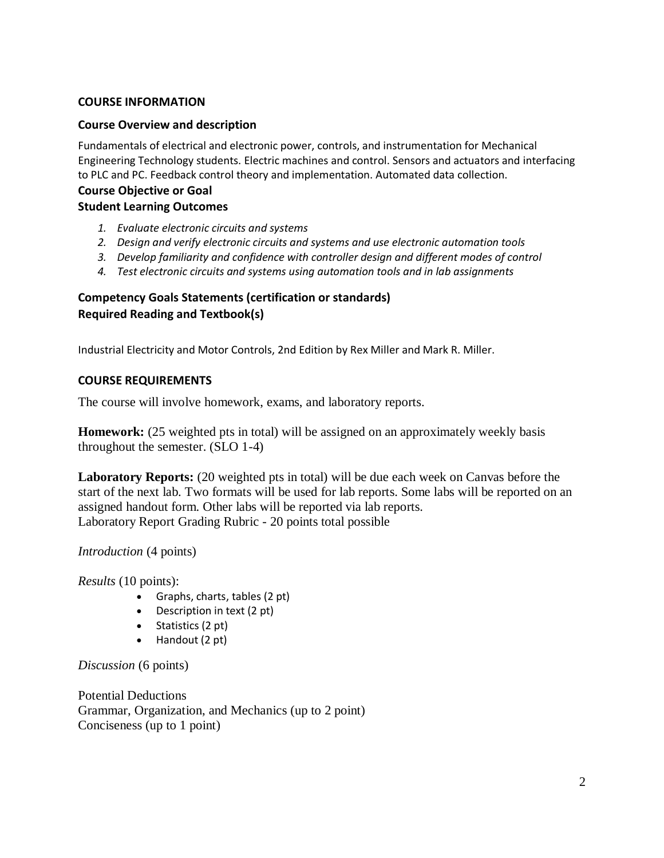#### **COURSE INFORMATION**

#### **Course Overview and description**

Fundamentals of electrical and electronic power, controls, and instrumentation for Mechanical Engineering Technology students. Electric machines and control. Sensors and actuators and interfacing to PLC and PC. Feedback control theory and implementation. Automated data collection.

#### **Course Objective or Goal Student Learning Outcomes**

- *1. Evaluate electronic circuits and systems*
- *2. Design and verify electronic circuits and systems and use electronic automation tools*
- *3. Develop familiarity and confidence with controller design and different modes of control*
- *4. Test electronic circuits and systems using automation tools and in lab assignments*

### **Competency Goals Statements (certification or standards) Required Reading and Textbook(s)**

Industrial Electricity and Motor Controls, 2nd Edition by Rex Miller and Mark R. Miller.

#### **COURSE REQUIREMENTS**

The course will involve homework, exams, and laboratory reports.

**Homework:** (25 weighted pts in total) will be assigned on an approximately weekly basis throughout the semester. (SLO 1-4)

**Laboratory Reports:** (20 weighted pts in total) will be due each week on Canvas before the start of the next lab. Two formats will be used for lab reports. Some labs will be reported on an assigned handout form. Other labs will be reported via lab reports. Laboratory Report Grading Rubric - 20 points total possible

*Introduction* (4 points)

*Results* (10 points):

- Graphs, charts, tables (2 pt)
- Description in text (2 pt)
- $\bullet$  Statistics (2 pt)
- Handout (2 pt)

*Discussion* (6 points)

Potential Deductions Grammar, Organization, and Mechanics (up to 2 point) Conciseness (up to 1 point)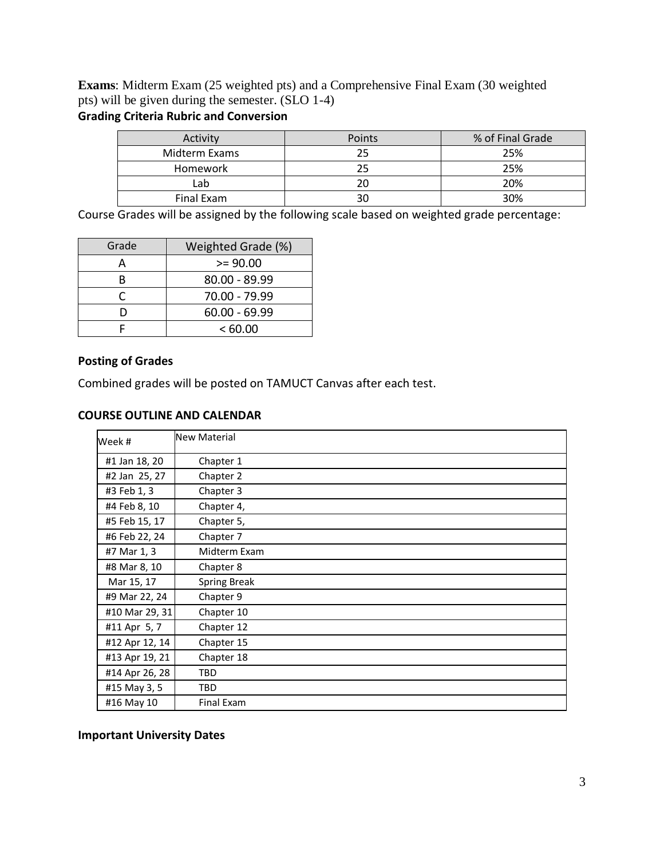**Exams**: Midterm Exam (25 weighted pts) and a Comprehensive Final Exam (30 weighted pts) will be given during the semester. (SLO 1-4) **Grading Criteria Rubric and Conversion** 

| Activity      | <b>Points</b> | % of Final Grade |
|---------------|---------------|------------------|
| Midterm Exams |               | 25%              |
| Homework      |               | 25%              |
| Lab           |               | 20%              |
| Final Exam    |               | 30%              |

Course Grades will be assigned by the following scale based on weighted grade percentage:

| Grade | Weighted Grade (%) |  |
|-------|--------------------|--|
|       | $>= 90.00$         |  |
| R     | 80.00 - 89.99      |  |
|       | 70.00 - 79.99      |  |
| n     | $60.00 - 69.99$    |  |
|       | <60.00             |  |

### **Posting of Grades**

Combined grades will be posted on TAMUCT Canvas after each test.

#### **COURSE OUTLINE AND CALENDAR**

| Week #         | <b>New Material</b> |
|----------------|---------------------|
| #1 Jan 18, 20  | Chapter 1           |
| #2 Jan 25, 27  | Chapter 2           |
| #3 Feb 1, 3    | Chapter 3           |
| #4 Feb 8, 10   | Chapter 4,          |
| #5 Feb 15, 17  | Chapter 5,          |
| #6 Feb 22, 24  | Chapter 7           |
| #7 Mar 1, 3    | Midterm Exam        |
| #8 Mar 8, 10   | Chapter 8           |
| Mar 15, 17     | <b>Spring Break</b> |
| #9 Mar 22, 24  | Chapter 9           |
| #10 Mar 29, 31 | Chapter 10          |
| #11 Apr 5, 7   | Chapter 12          |
| #12 Apr 12, 14 | Chapter 15          |
| #13 Apr 19, 21 | Chapter 18          |
| #14 Apr 26, 28 | <b>TBD</b>          |
| #15 May 3, 5   | <b>TBD</b>          |
| #16 May 10     | Final Exam          |

**Important University Dates**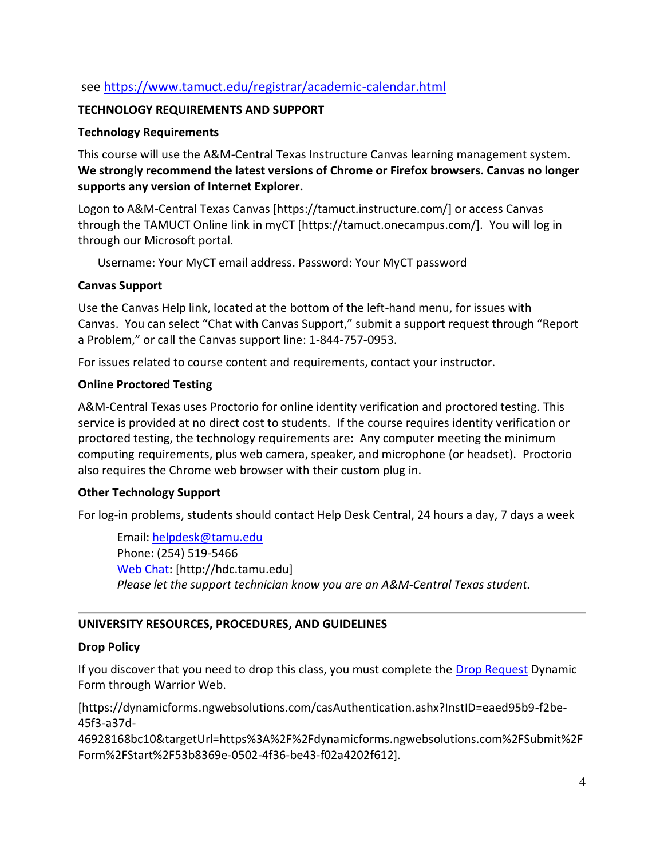# see <https://www.tamuct.edu/registrar/academic-calendar.html>

### **TECHNOLOGY REQUIREMENTS AND SUPPORT**

### **Technology Requirements**

This course will use the A&M-Central Texas Instructure Canvas learning management system. **We strongly recommend the latest versions of Chrome or Firefox browsers. Canvas no longer supports any version of Internet Explorer.**

Logon to A&M-Central Texas Canvas [https://tamuct.instructure.com/] or access Canvas through the TAMUCT Online link in myCT [https://tamuct.onecampus.com/]. You will log in through our Microsoft portal.

Username: Your MyCT email address. Password: Your MyCT password

### **Canvas Support**

Use the Canvas Help link, located at the bottom of the left-hand menu, for issues with Canvas. You can select "Chat with Canvas Support," submit a support request through "Report a Problem," or call the Canvas support line: 1-844-757-0953.

For issues related to course content and requirements, contact your instructor.

## **Online Proctored Testing**

A&M-Central Texas uses Proctorio for online identity verification and proctored testing. This service is provided at no direct cost to students. If the course requires identity verification or proctored testing, the technology requirements are: Any computer meeting the minimum computing requirements, plus web camera, speaker, and microphone (or headset). Proctorio also requires the Chrome web browser with their custom plug in.

## **Other Technology Support**

For log-in problems, students should contact Help Desk Central, 24 hours a day, 7 days a week

Email: [helpdesk@tamu.edu](mailto:helpdesk@tamu.edu) Phone: (254) 519-5466 [Web Chat:](http://hdc.tamu.edu/) [http://hdc.tamu.edu] *Please let the support technician know you are an A&M-Central Texas student.*

## **UNIVERSITY RESOURCES, PROCEDURES, AND GUIDELINES**

#### **Drop Policy**

If you discover that you need to drop this class, you must complete the [Drop Request](https://dynamicforms.ngwebsolutions.com/casAuthentication.ashx?InstID=eaed95b9-f2be-45f3-a37d-46928168bc10&targetUrl=https%3A%2F%2Fdynamicforms.ngwebsolutions.com%2FSubmit%2FForm%2FStart%2F53b8369e-0502-4f36-be43-f02a4202f612) Dynamic Form through Warrior Web.

[https://dynamicforms.ngwebsolutions.com/casAuthentication.ashx?InstID=eaed95b9-f2be-45f3-a37d-

46928168bc10&targetUrl=https%3A%2F%2Fdynamicforms.ngwebsolutions.com%2FSubmit%2F Form%2FStart%2F53b8369e-0502-4f36-be43-f02a4202f612].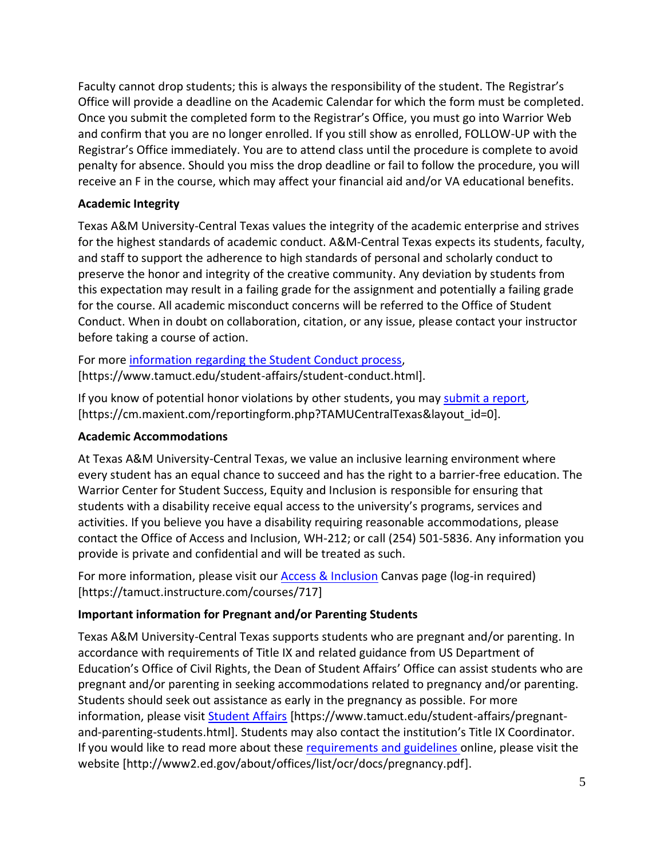Faculty cannot drop students; this is always the responsibility of the student. The Registrar's Office will provide a deadline on the Academic Calendar for which the form must be completed. Once you submit the completed form to the Registrar's Office, you must go into Warrior Web and confirm that you are no longer enrolled. If you still show as enrolled, FOLLOW-UP with the Registrar's Office immediately. You are to attend class until the procedure is complete to avoid penalty for absence. Should you miss the drop deadline or fail to follow the procedure, you will receive an F in the course, which may affect your financial aid and/or VA educational benefits.

## **Academic Integrity**

Texas A&M University-Central Texas values the integrity of the academic enterprise and strives for the highest standards of academic conduct. A&M-Central Texas expects its students, faculty, and staff to support the adherence to high standards of personal and scholarly conduct to preserve the honor and integrity of the creative community. Any deviation by students from this expectation may result in a failing grade for the assignment and potentially a failing grade for the course. All academic misconduct concerns will be referred to the Office of Student Conduct. When in doubt on collaboration, citation, or any issue, please contact your instructor before taking a course of action.

For more [information](https://nam04.safelinks.protection.outlook.com/?url=https%3A%2F%2Fwww.tamuct.edu%2Fstudent-affairs%2Fstudent-conduct.html&data=04%7C01%7Clisa.bunkowski%40tamuct.edu%7Ccfb6e486f24745f53e1a08d910055cb2%7C9eed4e3000f744849ff193ad8005acec%7C0%7C0%7C637558437485252160%7CUnknown%7CTWFpbGZsb3d8eyJWIjoiMC4wLjAwMDAiLCJQIjoiV2luMzIiLCJBTiI6Ik1haWwiLCJXVCI6Mn0%3D%7C1000&sdata=yjftDEVHvLX%2FhM%2FcFU0B99krV1RgEWR%2BJ%2BhvtoR6TYk%3D&reserved=0) regarding the Student Conduct process, [https://www.tamuct.edu/student-affairs/student-conduct.html].

If you know of potential honor violations by other students, you may [submit](https://nam04.safelinks.protection.outlook.com/?url=https%3A%2F%2Fcm.maxient.com%2Freportingform.php%3FTAMUCentralTexas%26layout_id%3D0&data=04%7C01%7Clisa.bunkowski%40tamuct.edu%7Ccfb6e486f24745f53e1a08d910055cb2%7C9eed4e3000f744849ff193ad8005acec%7C0%7C0%7C637558437485262157%7CUnknown%7CTWFpbGZsb3d8eyJWIjoiMC4wLjAwMDAiLCJQIjoiV2luMzIiLCJBTiI6Ik1haWwiLCJXVCI6Mn0%3D%7C1000&sdata=CXGkOa6uPDPX1IMZ87z3aZDq2n91xfHKu4MMS43Ejjk%3D&reserved=0) a report, [https://cm.maxient.com/reportingform.php?TAMUCentralTexas&layout\_id=0].

## **Academic Accommodations**

At Texas A&M University-Central Texas, we value an inclusive learning environment where every student has an equal chance to succeed and has the right to a barrier-free education. The Warrior Center for Student Success, Equity and Inclusion is responsible for ensuring that students with a disability receive equal access to the university's programs, services and activities. If you believe you have a disability requiring reasonable accommodations, please contact the Office of Access and Inclusion, WH-212; or call (254) 501-5836. Any information you provide is private and confidential and will be treated as such.

For more information, please visit our [Access & Inclusion](https://tamuct.instructure.com/courses/717) Canvas page (log-in required) [https://tamuct.instructure.com/courses/717]

# **Important information for Pregnant and/or Parenting Students**

Texas A&M University-Central Texas supports students who are pregnant and/or parenting. In accordance with requirements of Title IX and related guidance from US Department of Education's Office of Civil Rights, the Dean of Student Affairs' Office can assist students who are pregnant and/or parenting in seeking accommodations related to pregnancy and/or parenting. Students should seek out assistance as early in the pregnancy as possible. For more information, please visit [Student Affairs](https://www.tamuct.edu/student-affairs/pregnant-and-parenting-students.html) [https://www.tamuct.edu/student-affairs/pregnantand-parenting-students.html]. Students may also contact the institution's Title IX Coordinator. If you would like to read more about these [requirements and guidelines](http://www2.ed.gov/about/offices/list/ocr/docs/pregnancy.pdf) online, please visit the website [http://www2.ed.gov/about/offices/list/ocr/docs/pregnancy.pdf].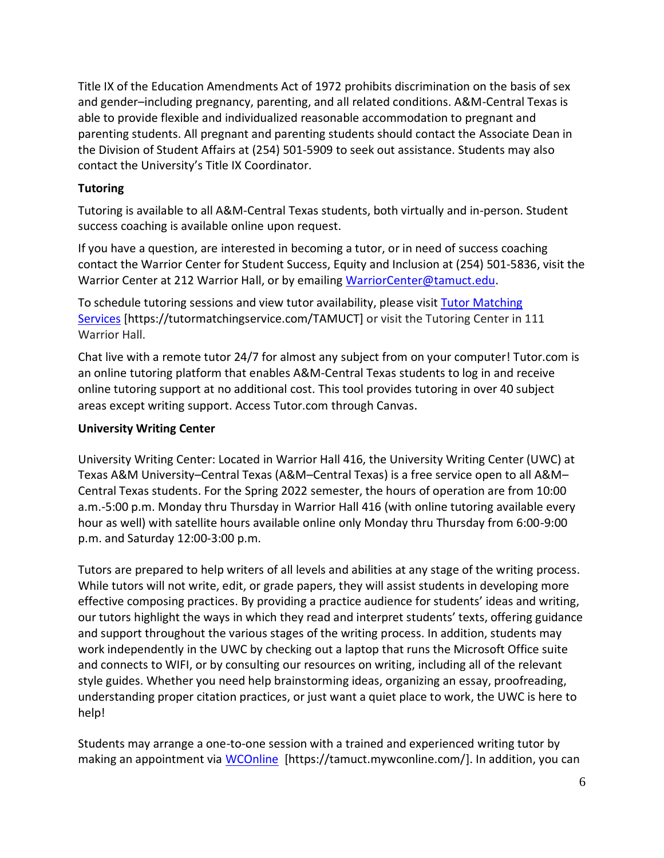Title IX of the Education Amendments Act of 1972 prohibits discrimination on the basis of sex and gender–including pregnancy, parenting, and all related conditions. A&M-Central Texas is able to provide flexible and individualized reasonable accommodation to pregnant and parenting students. All pregnant and parenting students should contact the Associate Dean in the Division of Student Affairs at (254) 501-5909 to seek out assistance. Students may also contact the University's Title IX Coordinator.

# **Tutoring**

Tutoring is available to all A&M-Central Texas students, both virtually and in-person. Student success coaching is available online upon request.

If you have a question, are interested in becoming a tutor, or in need of success coaching contact the Warrior Center for Student Success, Equity and Inclusion at (254) 501-5836, visit the Warrior Center at 212 Warrior Hall, or by emailing [WarriorCenter@tamuct.edu.](mailto:WarriorCenter@tamuct.edu)

To schedule tutoring sessions and view tutor availability, please visit Tutor [Matching](https://tutormatchingservice.com/TAMUCT) [Services](https://tutormatchingservice.com/TAMUCT) [https://tutormatchingservice.com/TAMUCT] or visit the Tutoring Center in 111 Warrior Hall.

Chat live with a remote tutor 24/7 for almost any subject from on your computer! Tutor.com is an online tutoring platform that enables A&M-Central Texas students to log in and receive online tutoring support at no additional cost. This tool provides tutoring in over 40 subject areas except writing support. Access Tutor.com through Canvas.

## **University Writing Center**

University Writing Center: Located in Warrior Hall 416, the University Writing Center (UWC) at Texas A&M University–Central Texas (A&M–Central Texas) is a free service open to all A&M– Central Texas students. For the Spring 2022 semester, the hours of operation are from 10:00 a.m.-5:00 p.m. Monday thru Thursday in Warrior Hall 416 (with online tutoring available every hour as well) with satellite hours available online only Monday thru Thursday from 6:00-9:00 p.m. and Saturday 12:00-3:00 p.m.

Tutors are prepared to help writers of all levels and abilities at any stage of the writing process. While tutors will not write, edit, or grade papers, they will assist students in developing more effective composing practices. By providing a practice audience for students' ideas and writing, our tutors highlight the ways in which they read and interpret students' texts, offering guidance and support throughout the various stages of the writing process. In addition, students may work independently in the UWC by checking out a laptop that runs the Microsoft Office suite and connects to WIFI, or by consulting our resources on writing, including all of the relevant style guides. Whether you need help brainstorming ideas, organizing an essay, proofreading, understanding proper citation practices, or just want a quiet place to work, the UWC is here to help!

Students may arrange a one-to-one session with a trained and experienced writing tutor by making an appointment via [WCOnline](https://tamuct.mywconline.com/) [https://tamuct.mywconline.com/]. In addition, you can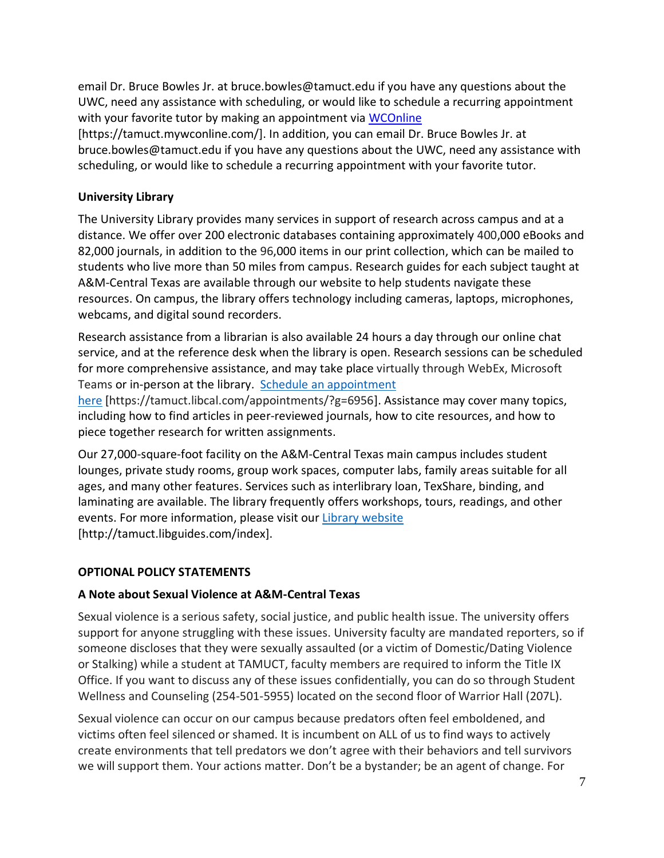email Dr. Bruce Bowles Jr. at bruce.bowles@tamuct.edu if you have any questions about the UWC, need any assistance with scheduling, or would like to schedule a recurring appointment with your favorite tutor by making an appointment via [WCOnline](https://tamuct.mywconline.com/)

[https://tamuct.mywconline.com/]. In addition, you can email Dr. Bruce Bowles Jr. at bruce.bowles@tamuct.edu if you have any questions about the UWC, need any assistance with scheduling, or would like to schedule a recurring appointment with your favorite tutor.

## **University Library**

The University Library provides many services in support of research across campus and at a distance. We offer over 200 electronic databases containing approximately 400,000 eBooks and 82,000 journals, in addition to the 96,000 items in our print collection, which can be mailed to students who live more than 50 miles from campus. Research guides for each subject taught at A&M-Central Texas are available through our website to help students navigate these resources. On campus, the library offers technology including cameras, laptops, microphones, webcams, and digital sound recorders.

Research assistance from a librarian is also available 24 hours a day through our online chat service, and at the reference desk when the library is open. Research sessions can be scheduled for more comprehensive assistance, and may take place virtually through WebEx, Microsoft Teams or in-person at the library. Schedule an [appointment](https://nam04.safelinks.protection.outlook.com/?url=https%3A%2F%2Ftamuct.libcal.com%2Fappointments%2F%3Fg%3D6956&data=04%7C01%7Clisa.bunkowski%40tamuct.edu%7Cde2c07d9f5804f09518008d9ab7ba6ff%7C9eed4e3000f744849ff193ad8005acec%7C0%7C0%7C637729369835011558%7CUnknown%7CTWFpbGZsb3d8eyJWIjoiMC4wLjAwMDAiLCJQIjoiV2luMzIiLCJBTiI6Ik1haWwiLCJXVCI6Mn0%3D%7C3000&sdata=KhtjgRSAw9aq%2FoBsB6wyu8b7PSuGN5EGPypzr3Ty2No%3D&reserved=0)

[here](https://nam04.safelinks.protection.outlook.com/?url=https%3A%2F%2Ftamuct.libcal.com%2Fappointments%2F%3Fg%3D6956&data=04%7C01%7Clisa.bunkowski%40tamuct.edu%7Cde2c07d9f5804f09518008d9ab7ba6ff%7C9eed4e3000f744849ff193ad8005acec%7C0%7C0%7C637729369835011558%7CUnknown%7CTWFpbGZsb3d8eyJWIjoiMC4wLjAwMDAiLCJQIjoiV2luMzIiLCJBTiI6Ik1haWwiLCJXVCI6Mn0%3D%7C3000&sdata=KhtjgRSAw9aq%2FoBsB6wyu8b7PSuGN5EGPypzr3Ty2No%3D&reserved=0) [https://tamuct.libcal.com/appointments/?g=6956]. Assistance may cover many topics, including how to find articles in peer-reviewed journals, how to cite resources, and how to piece together research for written assignments.

Our 27,000-square-foot facility on the A&M-Central Texas main campus includes student lounges, private study rooms, group work spaces, computer labs, family areas suitable for all ages, and many other features. Services such as interlibrary loan, TexShare, binding, and laminating are available. The library frequently offers workshops, tours, readings, and other events. For more information, please visit our Library [website](https://nam04.safelinks.protection.outlook.com/?url=https%3A%2F%2Ftamuct.libguides.com%2Findex&data=04%7C01%7Clisa.bunkowski%40tamuct.edu%7C7d8489e8839a4915335f08d916f067f2%7C9eed4e3000f744849ff193ad8005acec%7C0%7C0%7C637566044056484222%7CUnknown%7CTWFpbGZsb3d8eyJWIjoiMC4wLjAwMDAiLCJQIjoiV2luMzIiLCJBTiI6Ik1haWwiLCJXVCI6Mn0%3D%7C1000&sdata=2R755V6rcIyedGrd4Os5rkgn1PvhHKU3kUV1vBKiHFo%3D&reserved=0) [http://tamuct.libguides.com/index].

# **OPTIONAL POLICY STATEMENTS**

## **A Note about Sexual Violence at A&M-Central Texas**

Sexual violence is a serious safety, social justice, and public health issue. The university offers support for anyone struggling with these issues. University faculty are mandated reporters, so if someone discloses that they were sexually assaulted (or a victim of Domestic/Dating Violence or Stalking) while a student at TAMUCT, faculty members are required to inform the Title IX Office. If you want to discuss any of these issues confidentially, you can do so through Student Wellness and Counseling (254-501-5955) located on the second floor of Warrior Hall (207L).

Sexual violence can occur on our campus because predators often feel emboldened, and victims often feel silenced or shamed. It is incumbent on ALL of us to find ways to actively create environments that tell predators we don't agree with their behaviors and tell survivors we will support them. Your actions matter. Don't be a bystander; be an agent of change. For